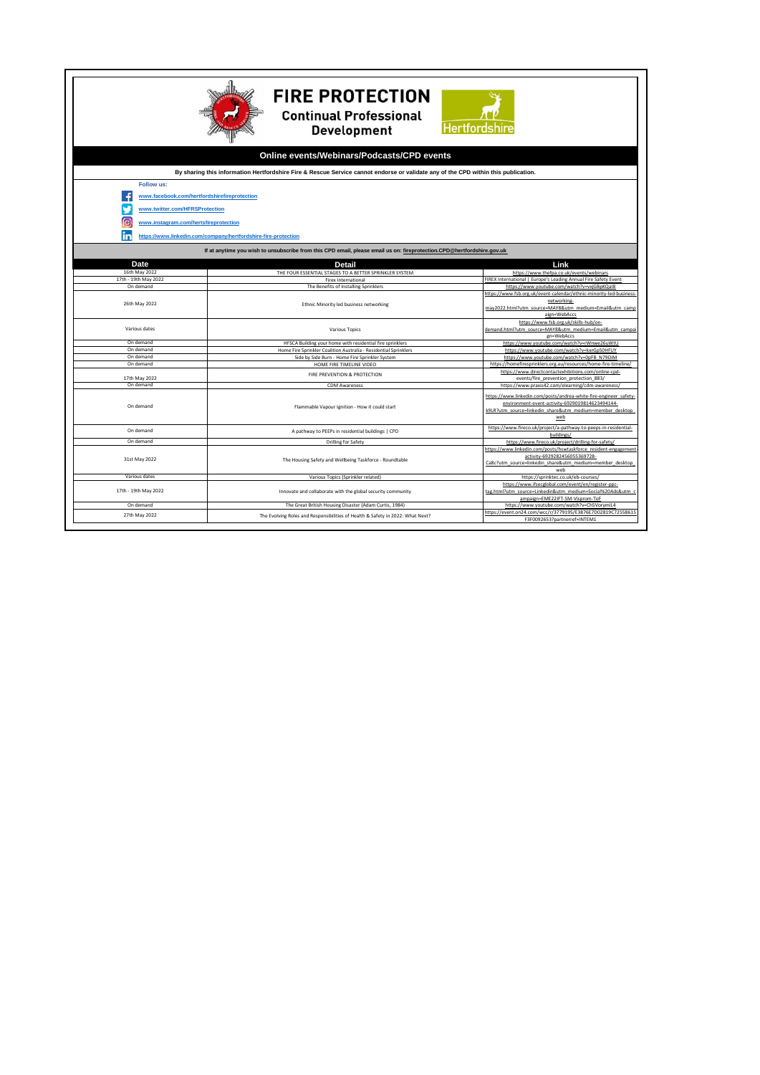|                                                                                                                                    | <b>FIRE PROTECTION</b><br><b>Continual Professional</b><br><b>Development</b>  | <b>Hertfordshire</b>                                                                                                                                                                    |  |  |
|------------------------------------------------------------------------------------------------------------------------------------|--------------------------------------------------------------------------------|-----------------------------------------------------------------------------------------------------------------------------------------------------------------------------------------|--|--|
| Online events/Webinars/Podcasts/CPD events                                                                                         |                                                                                |                                                                                                                                                                                         |  |  |
| By sharing this information Hertfordshire Fire & Rescue Service cannot endorse or validate any of the CPD within this publication. |                                                                                |                                                                                                                                                                                         |  |  |
| Follow us:                                                                                                                         |                                                                                |                                                                                                                                                                                         |  |  |
|                                                                                                                                    | www.facebook.com/hertfordshirefireprotection                                   |                                                                                                                                                                                         |  |  |
| www.twitter.com/HFRSProtection<br>ſo                                                                                               | www.instagram.com/hertsfireprotection                                          |                                                                                                                                                                                         |  |  |
|                                                                                                                                    | https://www.linkedin.com/company/hertfordshire-fire-protection                 |                                                                                                                                                                                         |  |  |
| If at anytime you wish to unsubscribe from this CPD email, please email us on: fireprotection.CPD@hertfordshire.gov.uk             |                                                                                |                                                                                                                                                                                         |  |  |
| Date                                                                                                                               | Detail                                                                         | Link                                                                                                                                                                                    |  |  |
| 16th May 2022                                                                                                                      | THE FOUR ESSENTIAL STAGES TO A BETTER SPRINKLER SYSTEM                         | https://www.thefpa.co.uk/events/webinars                                                                                                                                                |  |  |
| 17th - 19th May 2022                                                                                                               | <b>Firex International</b>                                                     | FIREX International   Europe's Leading Annual Fire Safety Event                                                                                                                         |  |  |
| On demand                                                                                                                          | The Benefits of Installing Sprinklers                                          | https://www.youtube.com/watch?v=vxjGBpKQaI8                                                                                                                                             |  |  |
| 26th May 2022                                                                                                                      | Ethnic Minority led business networking                                        | https://www.fsb.org.uk/event-calendar/ethnic-minority-led-business<br>networking-<br>may2022.html?utm_source=MAY8&utm_medium=Email&utm_camp<br>aign=WebAccs                             |  |  |
| Various dates                                                                                                                      | Various Topics                                                                 | https://www.fsb.org.uk/skills-hub/on-<br>demand.html?utm_source=MAY8&utm_medium=Email&utm_campai<br>gn=WebAccs                                                                          |  |  |
| On demand                                                                                                                          | HFSCA Building your home with residential fire sprinklers                      | https://www.youtube.com/watch?v=rWnwe26uWtU                                                                                                                                             |  |  |
| On demand                                                                                                                          | Home Fire Sprinkler Coalition Australia - Residential Sprinklers               | https://www.youtube.com/watch?v=kxrGp50HFUY                                                                                                                                             |  |  |
| On demand                                                                                                                          | Side by Side Burn - Home Fire Sprinkler System                                 | https://www.youtube.com/watch?v=0pFB_N79DiM                                                                                                                                             |  |  |
| On demand                                                                                                                          | HOME FIRE TIMELINE VIDEO                                                       | https://homefiresprinklers.org.au/resources/home-fire-timeline/                                                                                                                         |  |  |
| 17th May 2022                                                                                                                      | FIRE PREVENTION & PROTECTION                                                   | https://www.directcontactexhibitions.com/online-cpd-<br>events/fire prevention protection 883/                                                                                          |  |  |
| On demand                                                                                                                          | <b>CDM Awareness</b>                                                           | https://www.praxis42.com/elearning/cdm-awareness/                                                                                                                                       |  |  |
| On demand                                                                                                                          | Flammable Vapour Ignition - How it could start                                 | https://www.linkedin.com/posts/andrea-white-fire-engineer safety-<br>environment-event-activity-6929019814623494144-<br>k9LR?utm source=linkedin share&utm medium=member desktop<br>web |  |  |
| On demand                                                                                                                          | A pathway to PEEPs in residential buildings   CPD                              | https://www.fireco.uk/project/a-pathway-to-peeps-in-residential-<br>buildings/                                                                                                          |  |  |
| On demand                                                                                                                          | <b>Drilling for Safety</b>                                                     | https://www.fireco.uk/project/drilling-for-safety/                                                                                                                                      |  |  |
| 31st May 2022                                                                                                                      | The Housing Safety and Wellbeing Taskforce - Roundtable                        | https://www.linkedin.com/posts/hswtaskforce_resident-engagement<br>activity-6929282456055369728-<br>Ca8c?utm source=linkedin share&utm medium=member desktop<br>web                     |  |  |
| Various dates                                                                                                                      | Various Topics (Sprinkler related)                                             | https://sprinktec.co.uk/eb-courses/                                                                                                                                                     |  |  |
| 17th - 19th May 2022                                                                                                               | Innovate and collaborate with the global security community                    | https://www.ifsecglobal.com/event/en/register-ppc-<br>tag.html?utm_source=Linkedin&utm_medium=Social%20Ads&utm_o<br>ampaign=EME22IFT-SM-Visprom-ToF                                     |  |  |
| On demand                                                                                                                          | The Great British Housing Disaster (Adam Curtis, 1984)                         | https://www.voutube.com/watch?v=Ch5VorvmiL4                                                                                                                                             |  |  |
| 27th May 2022                                                                                                                      | The Evolving Roles and Responsibilities of Health & Safety in 2022: What Next? | https://event.on24.com/wcc/r/3779195/E3876E7D02819C72558615<br>F3F0092653?partnerref=INTEM1                                                                                             |  |  |